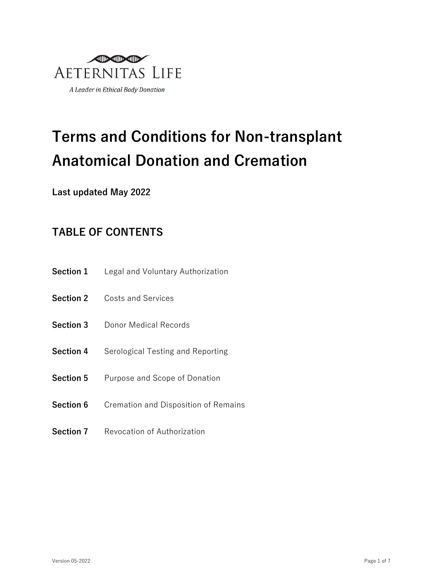

# **Terms and Conditions for Non-transplant Anatomical Donation and Cremation**

**Last updated May 2022**

# **TABLE OF CONTENTS**

- **Section 1** Legal and Voluntary Authorization
- **Section 2** Costs and Services
- **Section 3** Donor Medical Records
- **Section 4** Serological Testing and Reporting
- **Section 5** Purpose and Scope of Donation
- **Section 6** Cremation and Disposition of Remains
- **Section 7** Revocation of Authorization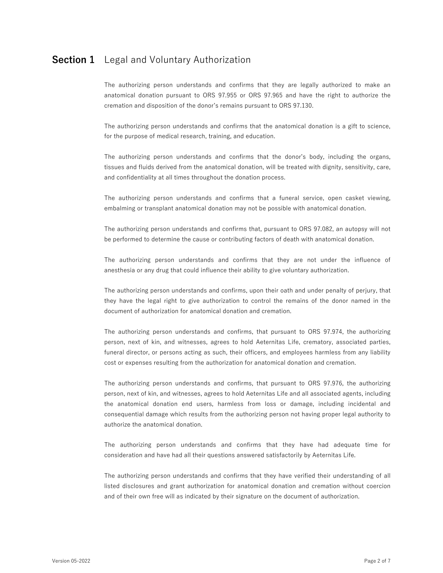# **Section 1** Legal and Voluntary Authorization

The authorizing person understands and confirms that they are legally authorized to make an anatomical donation pursuant to ORS 97.955 or ORS 97.965 and have the right to authorize the cremation and disposition of the donor's remains pursuant to ORS 97.130.

The authorizing person understands and confirms that the anatomical donation is a gift to science, for the purpose of medical research, training, and education.

The authorizing person understands and confirms that the donor's body, including the organs, tissues and fluids derived from the anatomical donation, will be treated with dignity, sensitivity, care, and confidentiality at all times throughout the donation process.

The authorizing person understands and confirms that a funeral service, open casket viewing, embalming or transplant anatomical donation may not be possible with anatomical donation.

The authorizing person understands and confirms that, pursuant to ORS 97.082, an autopsy will not be performed to determine the cause or contributing factors of death with anatomical donation.

The authorizing person understands and confirms that they are not under the influence of anesthesia or any drug that could influence their ability to give voluntary authorization.

The authorizing person understands and confirms, upon their oath and under penalty of perjury, that they have the legal right to give authorization to control the remains of the donor named in the document of authorization for anatomical donation and cremation.

The authorizing person understands and confirms, that pursuant to ORS 97.974, the authorizing person, next of kin, and witnesses, agrees to hold Aeternitas Life, crematory, associated parties, funeral director, or persons acting as such, their officers, and employees harmless from any liability cost or expenses resulting from the authorization for anatomical donation and cremation.

The authorizing person understands and confirms, that pursuant to ORS 97.976, the authorizing person, next of kin, and witnesses, agrees to hold Aeternitas Life and all associated agents, including the anatomical donation end users, harmless from loss or damage, including incidental and consequential damage which results from the authorizing person not having proper legal authority to authorize the anatomical donation.

The authorizing person understands and confirms that they have had adequate time for consideration and have had all their questions answered satisfactorily by Aeternitas Life.

The authorizing person understands and confirms that they have verified their understanding of all listed disclosures and grant authorization for anatomical donation and cremation without coercion and of their own free will as indicated by their signature on the document of authorization.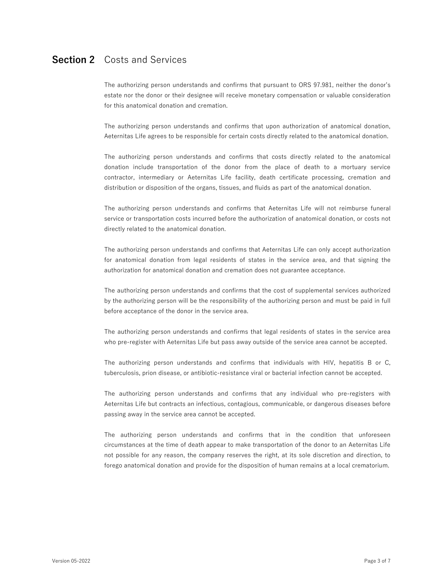#### **Section 2** Costs and Services

The authorizing person understands and confirms that pursuant to ORS 97.981, neither the donor's estate nor the donor or their designee will receive monetary compensation or valuable consideration for this anatomical donation and cremation.

The authorizing person understands and confirms that upon authorization of anatomical donation, Aeternitas Life agrees to be responsible for certain costs directly related to the anatomical donation.

The authorizing person understands and confirms that costs directly related to the anatomical donation include transportation of the donor from the place of death to a mortuary service contractor, intermediary or Aeternitas Life facility, death certificate processing, cremation and distribution or disposition of the organs, tissues, and fluids as part of the anatomical donation.

The authorizing person understands and confirms that Aeternitas Life will not reimburse funeral service or transportation costs incurred before the authorization of anatomical donation, or costs not directly related to the anatomical donation.

The authorizing person understands and confirms that Aeternitas Life can only accept authorization for anatomical donation from legal residents of states in the service area, and that signing the authorization for anatomical donation and cremation does not guarantee acceptance.

The authorizing person understands and confirms that the cost of supplemental services authorized by the authorizing person will be the responsibility of the authorizing person and must be paid in full before acceptance of the donor in the service area.

The authorizing person understands and confirms that legal residents of states in the service area who pre-register with Aeternitas Life but pass away outside of the service area cannot be accepted.

The authorizing person understands and confirms that individuals with HIV, hepatitis B or C, tuberculosis, prion disease, or antibiotic-resistance viral or bacterial infection cannot be accepted.

The authorizing person understands and confirms that any individual who pre-registers with Aeternitas Life but contracts an infectious, contagious, communicable, or dangerous diseases before passing away in the service area cannot be accepted.

The authorizing person understands and confirms that in the condition that unforeseen circumstances at the time of death appear to make transportation of the donor to an Aeternitas Life not possible for any reason, the company reserves the right, at its sole discretion and direction, to forego anatomical donation and provide for the disposition of human remains at a local crematorium.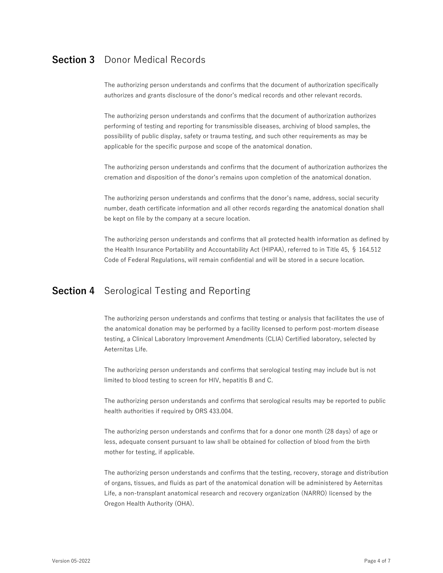# **Section 3** Donor Medical Records

The authorizing person understands and confirms that the document of authorization specifically authorizes and grants disclosure of the donor's medical records and other relevant records.

The authorizing person understands and confirms that the document of authorization authorizes performing of testing and reporting for transmissible diseases, archiving of blood samples, the possibility of public display, safety or trauma testing, and such other requirements as may be applicable for the specific purpose and scope of the anatomical donation.

The authorizing person understands and confirms that the document of authorization authorizes the cremation and disposition of the donor's remains upon completion of the anatomical donation.

The authorizing person understands and confirms that the donor's name, address, social security number, death certificate information and all other records regarding the anatomical donation shall be kept on file by the company at a secure location.

The authorizing person understands and confirms that all protected health information as defined by the Health Insurance Portability and Accountability Act (HIPAA), referred to in Title 45, § 164.512 Code of Federal Regulations, will remain confidential and will be stored in a secure location.

#### **Section 4** Serological Testing and Reporting

The authorizing person understands and confirms that testing or analysis that facilitates the use of the anatomical donation may be performed by a facility licensed to perform post-mortem disease testing, a Clinical Laboratory Improvement Amendments (CLIA) Certified laboratory, selected by Aeternitas Life.

The authorizing person understands and confirms that serological testing may include but is not limited to blood testing to screen for HIV, hepatitis B and C.

The authorizing person understands and confirms that serological results may be reported to public health authorities if required by ORS 433.004.

The authorizing person understands and confirms that for a donor one month (28 days) of age or less, adequate consent pursuant to law shall be obtained for collection of blood from the birth mother for testing, if applicable.

The authorizing person understands and confirms that the testing, recovery, storage and distribution of organs, tissues, and fluids as part of the anatomical donation will be administered by Aeternitas Life, a non-transplant anatomical research and recovery organization (NARRO) licensed by the Oregon Health Authority (OHA).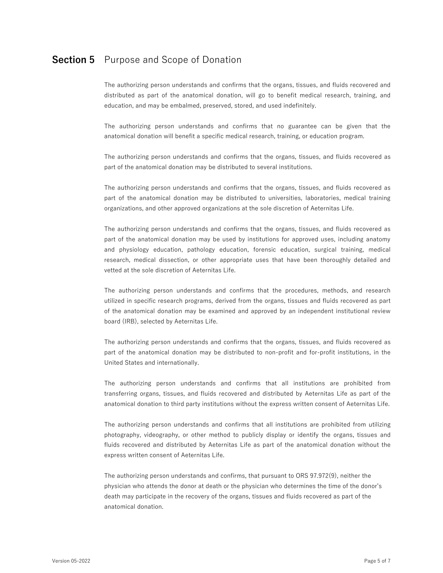# **Section 5** Purpose and Scope of Donation

The authorizing person understands and confirms that the organs, tissues, and fluids recovered and distributed as part of the anatomical donation, will go to benefit medical research, training, and education, and may be embalmed, preserved, stored, and used indefinitely.

The authorizing person understands and confirms that no guarantee can be given that the anatomical donation will benefit a specific medical research, training, or education program.

The authorizing person understands and confirms that the organs, tissues, and fluids recovered as part of the anatomical donation may be distributed to several institutions.

The authorizing person understands and confirms that the organs, tissues, and fluids recovered as part of the anatomical donation may be distributed to universities, laboratories, medical training organizations, and other approved organizations at the sole discretion of Aeternitas Life.

The authorizing person understands and confirms that the organs, tissues, and fluids recovered as part of the anatomical donation may be used by institutions for approved uses, including anatomy and physiology education, pathology education, forensic education, surgical training, medical research, medical dissection, or other appropriate uses that have been thoroughly detailed and vetted at the sole discretion of Aeternitas Life.

The authorizing person understands and confirms that the procedures, methods, and research utilized in specific research programs, derived from the organs, tissues and fluids recovered as part of the anatomical donation may be examined and approved by an independent institutional review board (IRB), selected by Aeternitas Life.

The authorizing person understands and confirms that the organs, tissues, and fluids recovered as part of the anatomical donation may be distributed to non-profit and for-profit institutions, in the United States and internationally.

The authorizing person understands and confirms that all institutions are prohibited from transferring organs, tissues, and fluids recovered and distributed by Aeternitas Life as part of the anatomical donation to third party institutions without the express written consent of Aeternitas Life.

The authorizing person understands and confirms that all institutions are prohibited from utilizing photography, videography, or other method to publicly display or identify the organs, tissues and fluids recovered and distributed by Aeternitas Life as part of the anatomical donation without the express written consent of Aeternitas Life.

The authorizing person understands and confirms, that pursuant to ORS 97.972(9), neither the physician who attends the donor at death or the physician who determines the time of the donor's death may participate in the recovery of the organs, tissues and fluids recovered as part of the anatomical donation.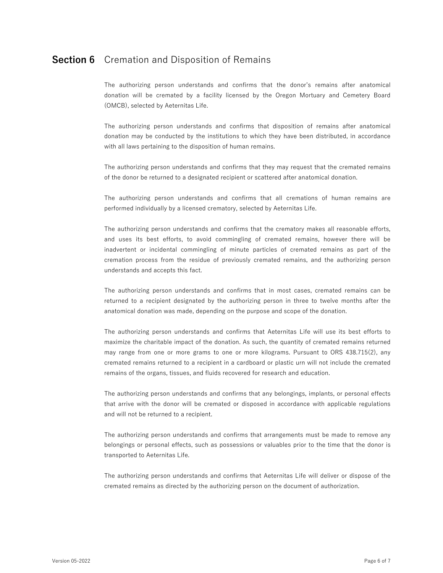# **Section 6** Cremation and Disposition of Remains

The authorizing person understands and confirms that the donor's remains after anatomical donation will be cremated by a facility licensed by the Oregon Mortuary and Cemetery Board (OMCB), selected by Aeternitas Life.

The authorizing person understands and confirms that disposition of remains after anatomical donation may be conducted by the institutions to which they have been distributed, in accordance with all laws pertaining to the disposition of human remains.

The authorizing person understands and confirms that they may request that the cremated remains of the donor be returned to a designated recipient or scattered after anatomical donation.

The authorizing person understands and confirms that all cremations of human remains are performed individually by a licensed crematory, selected by Aeternitas Life.

The authorizing person understands and confirms that the crematory makes all reasonable efforts, and uses its best efforts, to avoid commingling of cremated remains, however there will be inadvertent or incidental commingling of minute particles of cremated remains as part of the cremation process from the residue of previously cremated remains, and the authorizing person understands and accepts this fact.

The authorizing person understands and confirms that in most cases, cremated remains can be returned to a recipient designated by the authorizing person in three to twelve months after the anatomical donation was made, depending on the purpose and scope of the donation.

The authorizing person understands and confirms that Aeternitas Life will use its best efforts to maximize the charitable impact of the donation. As such, the quantity of cremated remains returned may range from one or more grams to one or more kilograms. Pursuant to ORS 438.715(2), any cremated remains returned to a recipient in a cardboard or plastic urn will not include the cremated remains of the organs, tissues, and fluids recovered for research and education.

The authorizing person understands and confirms that any belongings, implants, or personal effects that arrive with the donor will be cremated or disposed in accordance with applicable regulations and will not be returned to a recipient.

The authorizing person understands and confirms that arrangements must be made to remove any belongings or personal effects, such as possessions or valuables prior to the time that the donor is transported to Aeternitas Life.

The authorizing person understands and confirms that Aeternitas Life will deliver or dispose of the cremated remains as directed by the authorizing person on the document of authorization.